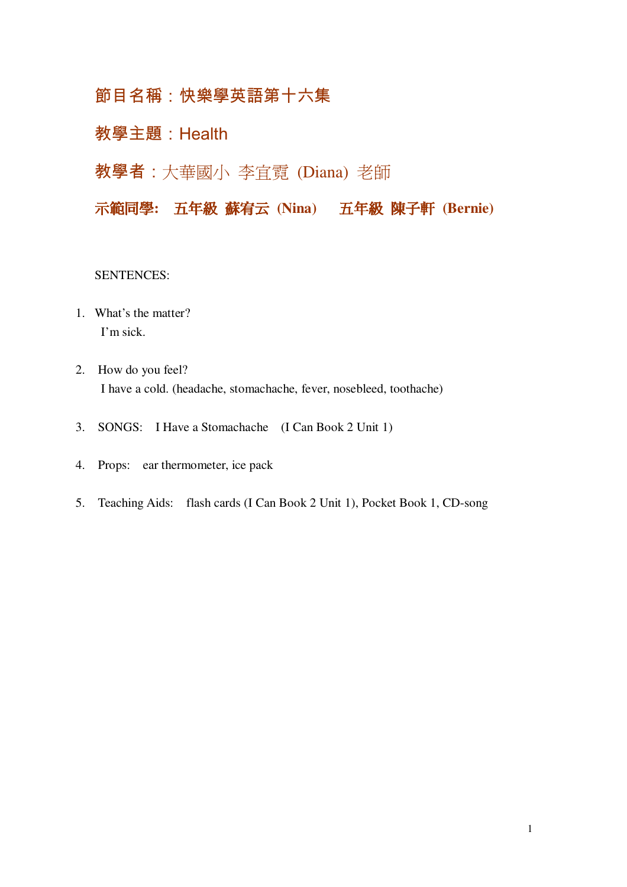# 節目名稱:快樂學英語第十六集

## 教學主題: Health

# 教學者:大華國小 李宜霓 (Diana) 老師

示範同學: 五年級 蘇宥云 (Nina) 在五年級 陳子軒 (Bernie)

### SENTENCES:

- 1. What's the matter? I'm sick.
- 2. How do you feel? I have a cold. (headache, stomachache, fever, nosebleed, toothache)
- 3. SONGS: I Have a Stomachache (I Can Book 2 Unit 1)
- 4. Props: ear thermometer, ice pack
- 5. Teaching Aids: flash cards (I Can Book 2 Unit 1), Pocket Book 1, CD-song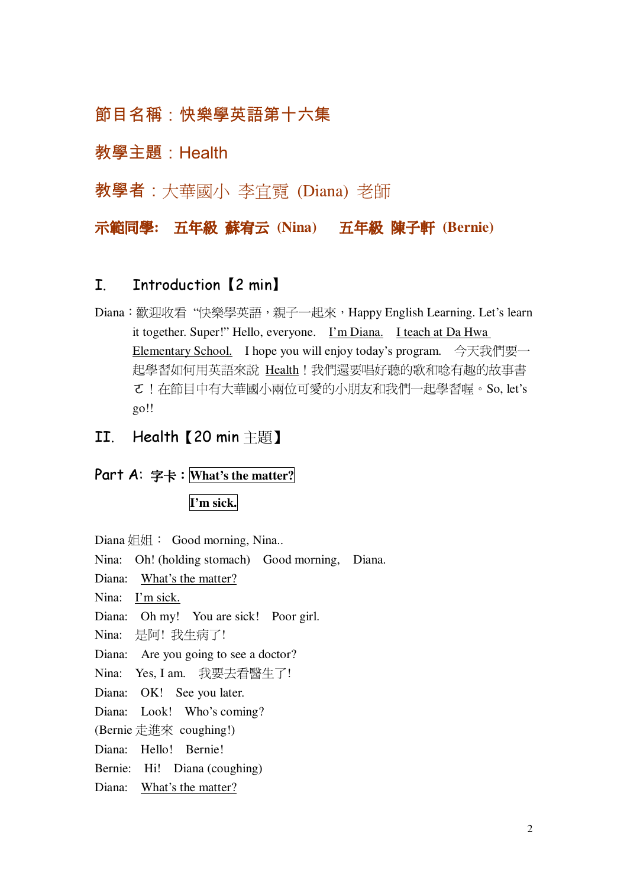# 節目名稱:快樂學英語第十六集

## 教學主題: Health

教學者:大華國小 李官霞 (Diana) 老師

示範同學: 五年級 蘇宥云 (Nina) 五年級 陳子軒 (Bernie)

#### Introduction [2 min]  $\mathbf{I}$ .

Diana: 歡迎收看"快樂學英語,親子一起來, Happy English Learning. Let's learn it together. Super!" Hello, everyone. I'm Diana. I teach at Da Hwa Elementary School. I hope you will enjoy today's program. 今天我們要一 起學習如何用英語來說 Health!我們還要唱好聽的歌和唸有趣的故事書 て!在節目中有大華國小兩位可愛的小朋友和我們一起學習喔。So, let's go!!

#### **TT** Health  $I$  20 min  $\pm$   $\mathbb{H}$  ]

### Part A: 字卡: What's the matter?

I'm sick.

Diana 姐姐: Good morning, Nina..

Nina: Oh! (holding stomach) Good morning, Diana.

Diana: What's the matter?

Nina: I'm sick.

Diana: Oh my! You are sick! Poor girl.

Nina: 是阿!我生病了!

Diana: Are you going to see a doctor?

Nina: Yes, I am. 我要去看醫生了!

Diana: OK! See you later.

Diana: Look! Who's coming?

(Bernie 走進來 coughing!)

Diana: Hello! Bernie!

Bernie: Hi! Diana (coughing)

Diana: What's the matter?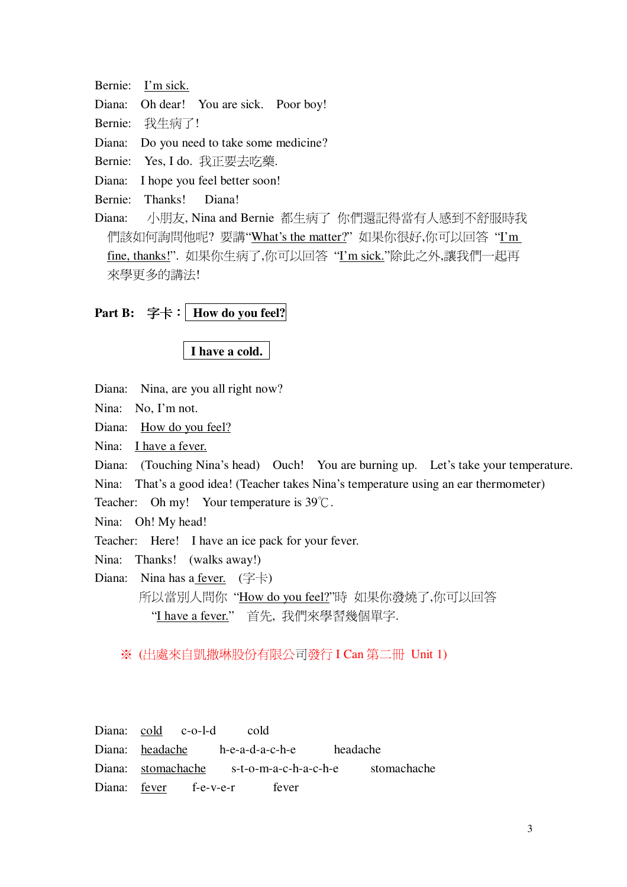Bernie: I'm sick.

Diana: Oh dear! You are sick. Poor boy!

Bernie: 我生病了!

Diana: Do you need to take some medicine?

Bernie: Yes, I do. 我正要去吃藥.

Diana: I hope you feel better soon!

Bernie: Thanks! Diana!

Diana: 小朋友, Nina and Bernie 都生病了 你們還記得當有人感到不舒服時我 們該如何詢問他呢? 要講"What's the matter?"如果你很好,你可以回答"I'm fine, thanks!". 如果你生病了,你可以回答"I'm sick."除此之外,讓我們一起再 來學更多的講法!

 $\mathbf{Part\ B:} \ \ \mathbf{\hat{\Xi}\mathbf{\hat{\pm}}:\ |\ \mathbf{How\ do\ you\ feel?}}$ 

**I have a cold.**

Diana: Nina, are you all right now?

Nina: No, I'm not.

Diana: How do you feel?

Nina: I have a fever.

Diana: (Touching Nina's head) Ouch! You are burning up. Let's take your temperature.

Nina: That's a good idea! (Teacher takes Nina's temperature using an ear thermometer)

Teacher: Oh my! Your temperature is  $39^{\circ}$ C.

Nina: Oh! My head!

Teacher: Here! I have an ice pack for your fever.

Nina: Thanks! (walks away!)

Diana: Nina has a fever.  $(\nexists \nexists)$ 所以當別人問你"How do you feel?"時 如果你發燒了,你可以回答 "I have a fever." 首先, 我們來學習幾個單字.

※ (出處來自凱撒琳股份有限公司發行 I Can 第二冊 Unit 1)

| Diana: cold c-o-l-d cold |                                          |                                                      |  |
|--------------------------|------------------------------------------|------------------------------------------------------|--|
|                          | Diana: headache h-e-a-d-a-c-h-e headache |                                                      |  |
|                          |                                          | Diana: stomachache s-t-o-m-a-c-h-a-c-h-e stomachache |  |
|                          | Diana: fever f-e-v-e-r fever             |                                                      |  |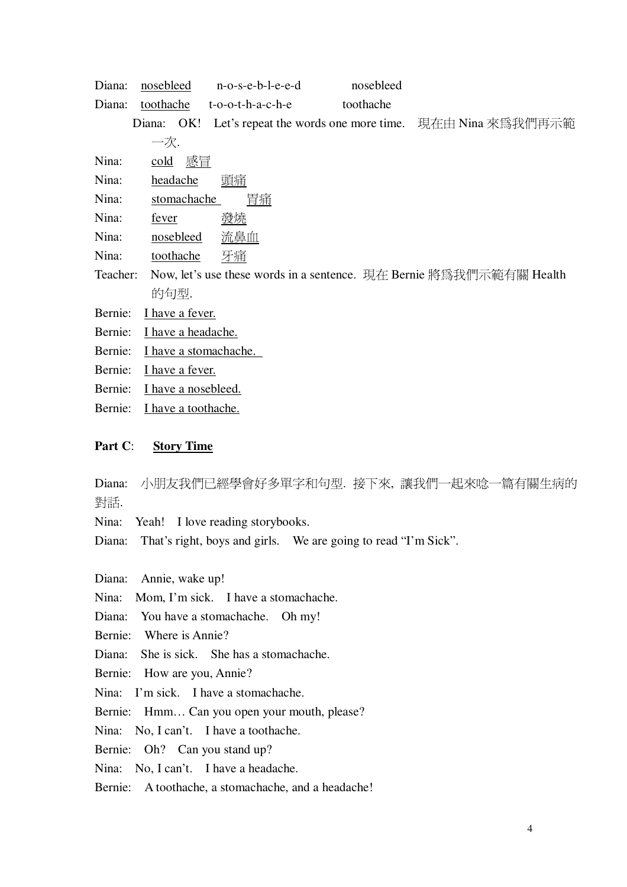| Diana:   | nosebleed                                                           |                        | $n-o-s-e-b-l-e-e-d$      | nosebleed |                                                        |  |  |  |  |  |
|----------|---------------------------------------------------------------------|------------------------|--------------------------|-----------|--------------------------------------------------------|--|--|--|--|--|
| Diana:   | toothache                                                           |                        | $t$ -o-o- $t$ -h-a-c-h-e | toothache |                                                        |  |  |  |  |  |
|          | Diana:                                                              | OK!                    |                          |           | Let's repeat the words one more time. 現在由 Nina 來為我們再示範 |  |  |  |  |  |
|          | 一次.                                                                 |                        |                          |           |                                                        |  |  |  |  |  |
| Nina:    | $\frac{\text{cold}}{\text{cold}}$                                   | 感冒                     |                          |           |                                                        |  |  |  |  |  |
| Nina:    |                                                                     | headache<br>頭痛         |                          |           |                                                        |  |  |  |  |  |
| Nina:    |                                                                     | 胃痛<br>stomachache      |                          |           |                                                        |  |  |  |  |  |
| Nina:    | fever                                                               |                        | 發燒                       |           |                                                        |  |  |  |  |  |
| Nina:    |                                                                     | nosebleed              | 流鼻血                      |           |                                                        |  |  |  |  |  |
| Nina:    |                                                                     | toothache              | 牙痛                       |           |                                                        |  |  |  |  |  |
| Teacher: | Now, let's use these words in a sentence. 現在 Bernie 將為我們示範有關 Health |                        |                          |           |                                                        |  |  |  |  |  |
|          | 的句型.                                                                |                        |                          |           |                                                        |  |  |  |  |  |
| Bernie:  |                                                                     | I have a fever.        |                          |           |                                                        |  |  |  |  |  |
| Bernie:  |                                                                     | I have a headache.     |                          |           |                                                        |  |  |  |  |  |
| Bernie:  |                                                                     | I have a stomachache.  |                          |           |                                                        |  |  |  |  |  |
| Bernie:  |                                                                     | <u>I have a fever.</u> |                          |           |                                                        |  |  |  |  |  |
| Bernie:  |                                                                     | I have a nosebleed.    |                          |           |                                                        |  |  |  |  |  |
| Bernie:  |                                                                     | I have a toothache.    |                          |           |                                                        |  |  |  |  |  |

### **Part C**: **Story Time**

Diana: 小朋友我們已經學會好多單字和句型. 接下來, 讓我們一起來唸一篇有關生病的 料話.

Nina: Yeah! I love reading storybooks.

Diana: That's right, boys and girls. We are going to read "I'm Sick".

Diana: Annie, wake up!

Nina: Mom, I'm sick. I have a stomachache.

Diana: You have a stomachache. Oh my!

Bernie: Where is Annie?

Diana: She is sick. She has a stomachache.

Bernie: How are you, Annie?

Nina: I'm sick. I have a stomachache.

Bernie: Hmm… Can you open your mouth, please?

Nina: No, I can't. I have a toothache.

Bernie: Oh? Can you stand up?

Nina: No, I can't. I have a headache.

Bernie: A toothache, a stomachache, and a headache!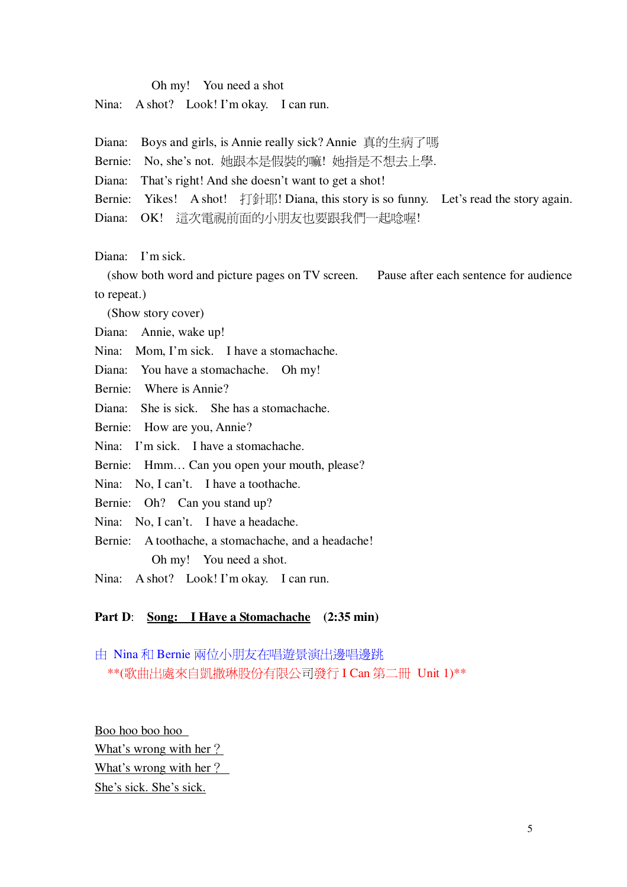Oh my! You need a shot

Nina: A shot? Look! I'm okay. I can run.

Diana: Boys and girls, is Annie really sick? Annie 真的生病了嗎

Bernie: No. she's not. 她跟本是假裝的嘛! 她指是不想去上學.

Diana: That's right! And she doesn't want to get a shot!

Bernie: Yikes! A shot!  $\exists \exists \exists \exists \exists !$  Diana, this story is so funny. Let's read the story again.

Diana: OK! 這次電視前面的小朋友也要跟我們一起唸喔!

Diana: I'm sick.

(show both word and picture pages on TV screen. Pause after each sentence for audience to repeat.)

(Show story cover)

Diana: Annie, wake up!

Nina: Mom, I'm sick. I have a stomachache.

Diana: You have a stomachache. Oh my!

Bernie: Where is Annie?

Diana: She is sick. She has a stomachache.

Bernie: How are you, Annie?

Nina: I'm sick. I have a stomachache.

Bernie: Hmm… Can you open your mouth, please?

Nina: No, I can't. I have a toothache.

- Bernie: Oh? Can you stand up?
- Nina: No, I can't. I have a headache.

Bernie: A toothache, a stomachache, and a headache! Oh my! You need a shot.

Nina: A shot? Look! I'm okay. I can run.

### **Part D**: **Song: I Have a Stomachache (2:35 min)**

由 Nina 和 Bernie 兩位小朋友在唱游景演出邊唱邊跳 \*\*(歌曲出處來自凱撒琳股份有限公司發行 I Can 第二冊 Unit 1)\*\*

Boo hoo boo hoo What's wrong with her? What's wrong with her? She's sick. She's sick.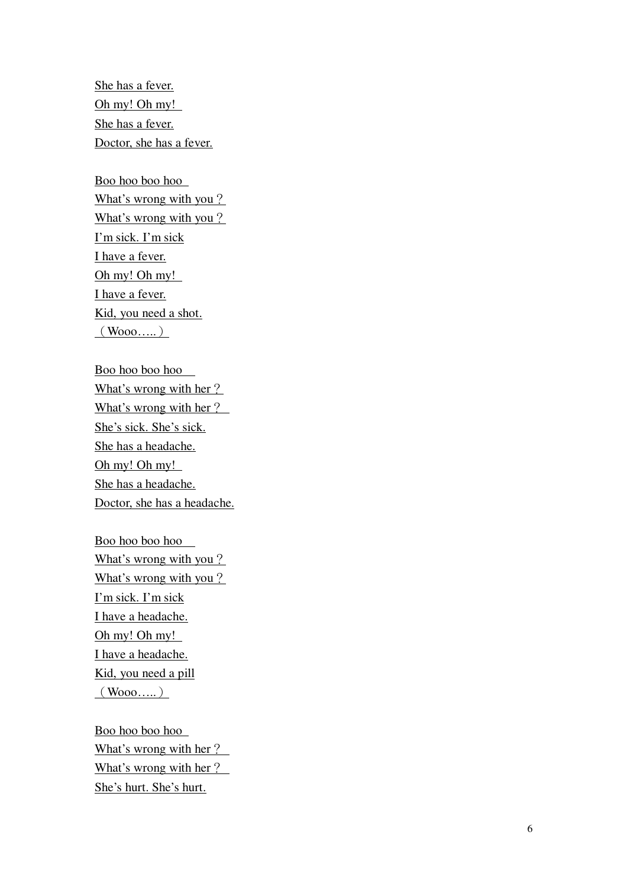She has a fever. Oh my! Oh my! She has a fever. Doctor, she has a fever.

<u>Boo hoo boo hoo</u> What's wrong with you ? What's wrong with you ? <u>I'm sick. I'm sick</u> I have a fever. Oh my! Oh my! I have a fever. Kid, you need a shot.  $(W000.....)$ 

<u>Boo hoo boo hoo</u> What's wrong with her? What's wrong with her? She's sick. She's sick. She has a headache. Oh my! Oh my! She has a headache. Doctor, she has a headache.

<u>Boo hoo boo hoo</u> What's wrong with you ? What's wrong with you ? <u>I'm sick. I'm sick</u> I have a headache. Oh my! Oh my! I have a headache. Kid, you need a pill  $(W000.....)$ 

<u>Boo hoo boo hoo</u> What's wrong with her? What's wrong with her? She's hurt. She's hurt.